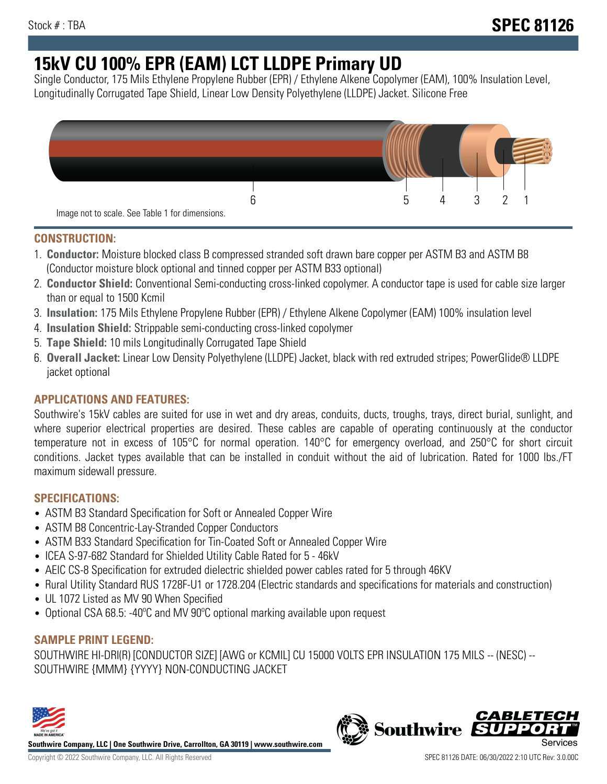# **15kV CU 100% EPR (EAM) LCT LLDPE Primary UD**

Single Conductor, 175 Mils Ethylene Propylene Rubber (EPR) / Ethylene Alkene Copolymer (EAM), 100% Insulation Level, Longitudinally Corrugated Tape Shield, Linear Low Density Polyethylene (LLDPE) Jacket. Silicone Free



## **CONSTRUCTION:**

- 1. **Conductor:** Moisture blocked class B compressed stranded soft drawn bare copper per ASTM B3 and ASTM B8 (Conductor moisture block optional and tinned copper per ASTM B33 optional)
- 2. **Conductor Shield:** Conventional Semi-conducting cross-linked copolymer. A conductor tape is used for cable size larger than or equal to 1500 Kcmil
- 3. **Insulation:** 175 Mils Ethylene Propylene Rubber (EPR) / Ethylene Alkene Copolymer (EAM) 100% insulation level
- 4. **Insulation Shield:** Strippable semi-conducting cross-linked copolymer
- 5. **Tape Shield:** 10 mils Longitudinally Corrugated Tape Shield
- 6. **Overall Jacket:** Linear Low Density Polyethylene (LLDPE) Jacket, black with red extruded stripes; PowerGlide® LLDPE jacket optional

## **APPLICATIONS AND FEATURES:**

Southwire's 15kV cables are suited for use in wet and dry areas, conduits, ducts, troughs, trays, direct burial, sunlight, and where superior electrical properties are desired. These cables are capable of operating continuously at the conductor temperature not in excess of 105°C for normal operation. 140°C for emergency overload, and 250°C for short circuit conditions. Jacket types available that can be installed in conduit without the aid of lubrication. Rated for 1000 lbs./FT maximum sidewall pressure.

## **SPECIFICATIONS:**

- ASTM B3 Standard Specification for Soft or Annealed Copper Wire
- ASTM B8 Concentric-Lay-Stranded Copper Conductors
- ASTM B33 Standard Specification for Tin-Coated Soft or Annealed Copper Wire
- ICEA S-97-682 Standard for Shielded Utility Cable Rated for 5 46kV
- AEIC CS-8 Specification for extruded dielectric shielded power cables rated for 5 through 46KV
- Rural Utility Standard RUS 1728F-U1 or 1728.204 (Electric standards and specifications for materials and construction)
- UL 1072 Listed as MV 90 When Specified
- Optional CSA 68.5: -40ºC and MV 90ºC optional marking available upon request

## **SAMPLE PRINT LEGEND:**

SOUTHWIRE HI-DRI(R) [CONDUCTOR SIZE] [AWG or KCMIL] CU 15000 VOLTS EPR INSULATION 175 MILS -- (NESC) -- SOUTHWIRE {MMM} {YYYY} NON-CONDUCTING JACKET



**Southwire Company, LLC | One Southwire Drive, Carrollton, GA 30119 | www.southwire.com**